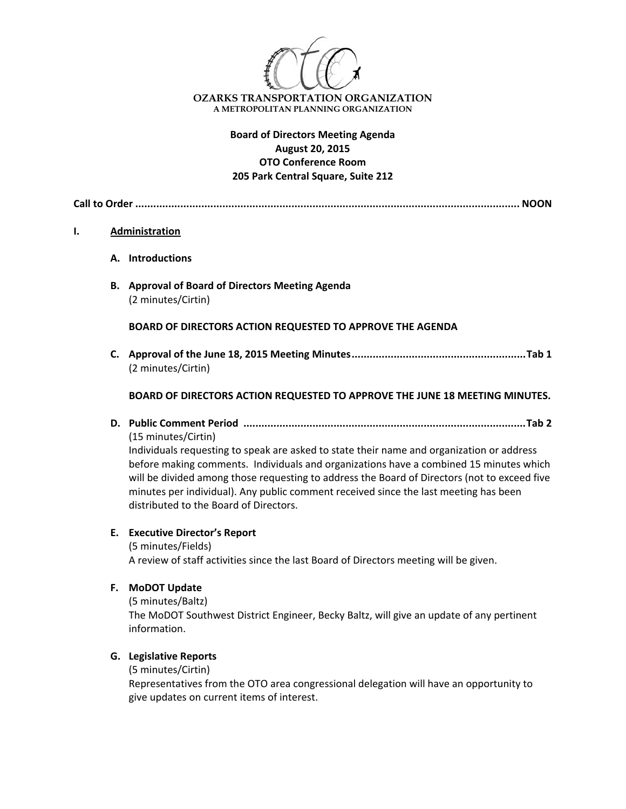

# **Board of Directors Meeting Agenda August 20, 2015 OTO Conference Room 205 Park Central Square, Suite 212**

**Call to Order ................................................................................................................................ NOON**

#### **I. Administration**

- **A. Introductions**
- **B. Approval of Board of Directors Meeting Agenda** (2 minutes/Cirtin)

**BOARD OF DIRECTORS ACTION REQUESTED TO APPROVE THE AGENDA**

**C. Approval of the June 18, 2015 Meeting Minutes..........................................................Tab 1** (2 minutes/Cirtin)

## **BOARD OF DIRECTORS ACTION REQUESTED TO APPROVE THE JUNE 18 MEETING MINUTES.**

**D. Public Comment Period ..............................................................................................Tab 2**

(15 minutes/Cirtin)

Individuals requesting to speak are asked to state their name and organization or address before making comments. Individuals and organizations have a combined 15 minutes which will be divided among those requesting to address the Board of Directors (not to exceed five minutes per individual). Any public comment received since the last meeting has been distributed to the Board of Directors.

#### **E. Executive Director's Report**

(5 minutes/Fields) A review of staff activities since the last Board of Directors meeting will be given.

**F. MoDOT Update**

(5 minutes/Baltz) The MoDOT Southwest District Engineer, Becky Baltz, will give an update of any pertinent information.

## **G. Legislative Reports**

(5 minutes/Cirtin)

Representatives from the OTO area congressional delegation will have an opportunity to give updates on current items of interest.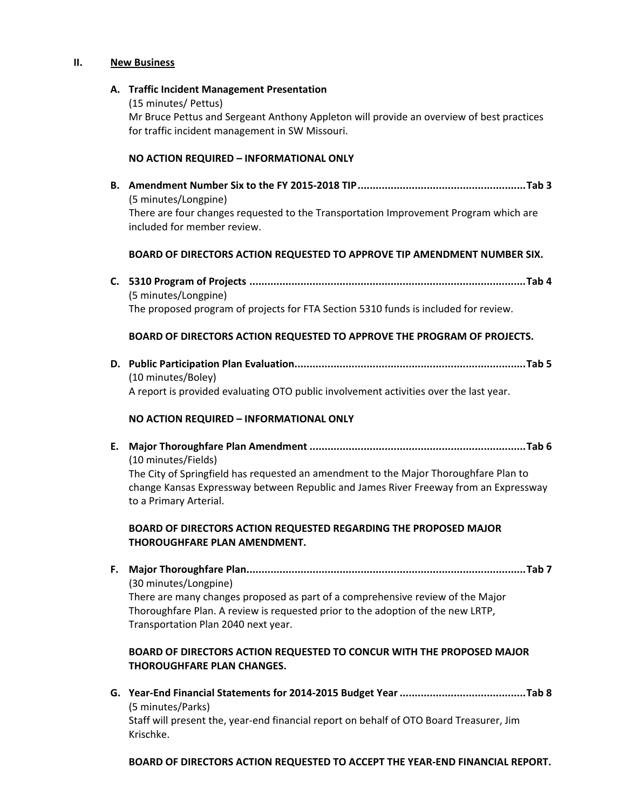#### **II. New Business**

#### **A. Traffic Incident Management Presentation**

(15 minutes/ Pettus)

Mr Bruce Pettus and Sergeant Anthony Appleton will provide an overview of best practices for traffic incident management in SW Missouri.

## **NO ACTION REQUIRED – INFORMATIONAL ONLY**

**B. Amendment Number Six to the FY 2015‐2018 TIP........................................................Tab 3** (5 minutes/Longpine) There are four changes requested to the Transportation Improvement Program which are included for member review.

#### **BOARD OF DIRECTORS ACTION REQUESTED TO APPROVE TIP AMENDMENT NUMBER SIX.**

**C. 5310 Program of Projects ............................................................................................Tab 4** (5 minutes/Longpine) The proposed program of projects for FTA Section 5310 funds is included for review.

## **BOARD OF DIRECTORS ACTION REQUESTED TO APPROVE THE PROGRAM OF PROJECTS.**

**D. Public Participation Plan Evaluation.............................................................................Tab 5** (10 minutes/Boley) A report is provided evaluating OTO public involvement activities over the last year.

## **NO ACTION REQUIRED – INFORMATIONAL ONLY**

**E. Major Thoroughfare Plan Amendment ........................................................................Tab 6** (10 minutes/Fields) The City of Springfield has requested an amendment to the Major Thoroughfare Plan to

change Kansas Expressway between Republic and James River Freeway from an Expressway to a Primary Arterial.

# **BOARD OF DIRECTORS ACTION REQUESTED REGARDING THE PROPOSED MAJOR THOROUGHFARE PLAN AMENDMENT.**

**F. Major Thoroughfare Plan.............................................................................................Tab 7**  (30 minutes/Longpine) There are many changes proposed as part of a comprehensive review of the Major Thoroughfare Plan. A review is requested prior to the adoption of the new LRTP, Transportation Plan 2040 next year.

# **BOARD OF DIRECTORS ACTION REQUESTED TO CONCUR WITH THE PROPOSED MAJOR THOROUGHFARE PLAN CHANGES.**

**G. Year‐End Financial Statements for 2014‐2015 Budget Year..........................................Tab 8** (5 minutes/Parks) Staff will present the, year‐end financial report on behalf of OTO Board Treasurer, Jim Krischke.

**BOARD OF DIRECTORS ACTION REQUESTED TO ACCEPT THE YEAR‐END FINANCIAL REPORT.**